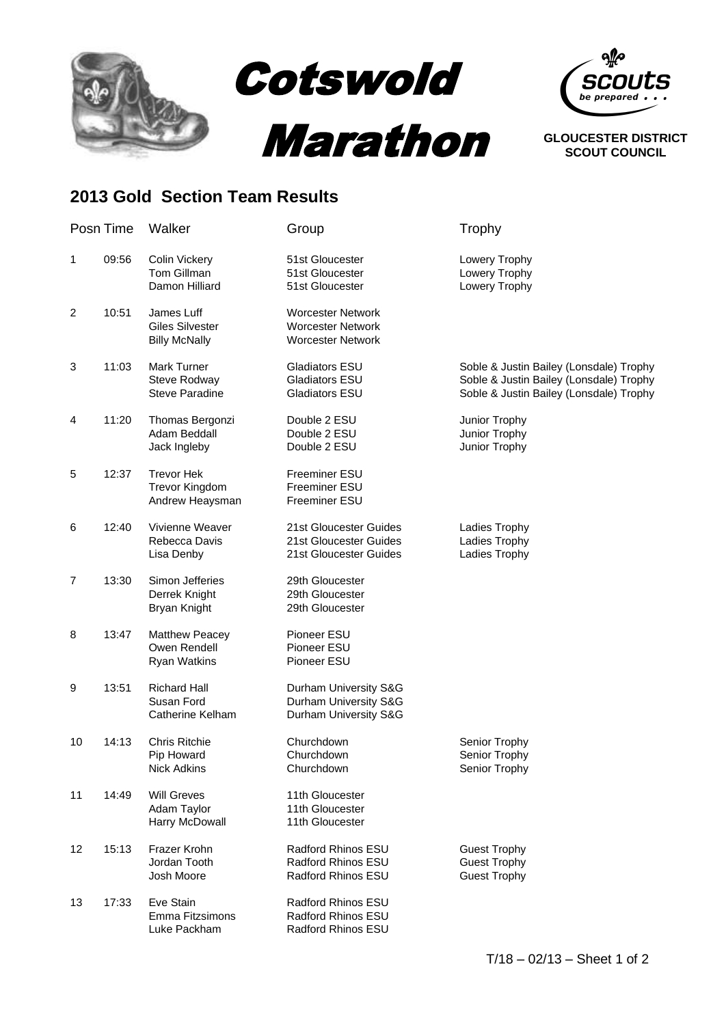

Cotswold





## **2013 Gold Section Team Results**

|    | Posn Time | Walker                                                       | Group                                                                            | Trophy                                                                                                                        |
|----|-----------|--------------------------------------------------------------|----------------------------------------------------------------------------------|-------------------------------------------------------------------------------------------------------------------------------|
| 1  | 09:56     | <b>Colin Vickery</b><br>Tom Gillman<br>Damon Hilliard        | 51st Gloucester<br>51st Gloucester<br>51st Gloucester                            | Lowery Trophy<br>Lowery Trophy<br>Lowery Trophy                                                                               |
| 2  | 10:51     | James Luff<br><b>Giles Silvester</b><br><b>Billy McNally</b> | <b>Worcester Network</b><br><b>Worcester Network</b><br><b>Worcester Network</b> |                                                                                                                               |
| 3  | 11:03     | Mark Turner<br>Steve Rodway<br><b>Steve Paradine</b>         | <b>Gladiators ESU</b><br>Gladiators ESU<br>Gladiators ESU                        | Soble & Justin Bailey (Lonsdale) Trophy<br>Soble & Justin Bailey (Lonsdale) Trophy<br>Soble & Justin Bailey (Lonsdale) Trophy |
| 4  | 11:20     | Thomas Bergonzi<br>Adam Beddall<br>Jack Ingleby              | Double 2 ESU<br>Double 2 ESU<br>Double 2 ESU                                     | Junior Trophy<br>Junior Trophy<br>Junior Trophy                                                                               |
| 5  | 12:37     | <b>Trevor Hek</b><br>Trevor Kingdom<br>Andrew Heaysman       | Freeminer ESU<br>Freeminer ESU<br>Freeminer ESU                                  |                                                                                                                               |
| 6  | 12:40     | Vivienne Weaver<br>Rebecca Davis<br>Lisa Denby               | 21st Gloucester Guides<br>21st Gloucester Guides<br>21st Gloucester Guides       | Ladies Trophy<br>Ladies Trophy<br>Ladies Trophy                                                                               |
| 7  | 13:30     | Simon Jefferies<br>Derrek Knight<br>Bryan Knight             | 29th Gloucester<br>29th Gloucester<br>29th Gloucester                            |                                                                                                                               |
| 8  | 13:47     | <b>Matthew Peacey</b><br>Owen Rendell<br><b>Ryan Watkins</b> | Pioneer ESU<br>Pioneer ESU<br>Pioneer ESU                                        |                                                                                                                               |
| 9  | 13:51     | <b>Richard Hall</b><br>Susan Ford<br>Catherine Kelham        | Durham University S&G<br>Durham University S&G<br>Durham University S&G          |                                                                                                                               |
| 10 | 14:13     | <b>Chris Ritchie</b><br>Pip Howard<br>Nick Adkins            | Churchdown<br>Churchdown<br>Churchdown                                           | Senior Trophy<br>Senior Trophy<br>Senior Trophy                                                                               |
| 11 | 14:49     | <b>Will Greves</b><br>Adam Taylor<br>Harry McDowall          | 11th Gloucester<br>11th Gloucester<br>11th Gloucester                            |                                                                                                                               |
| 12 | 15:13     | Frazer Krohn<br>Jordan Tooth<br>Josh Moore                   | Radford Rhinos ESU<br>Radford Rhinos ESU<br>Radford Rhinos ESU                   | <b>Guest Trophy</b><br><b>Guest Trophy</b><br><b>Guest Trophy</b>                                                             |
| 13 | 17:33     | Eve Stain<br>Emma Fitzsimons<br>Luke Packham                 | Radford Rhinos ESU<br>Radford Rhinos ESU<br>Radford Rhinos ESU                   |                                                                                                                               |